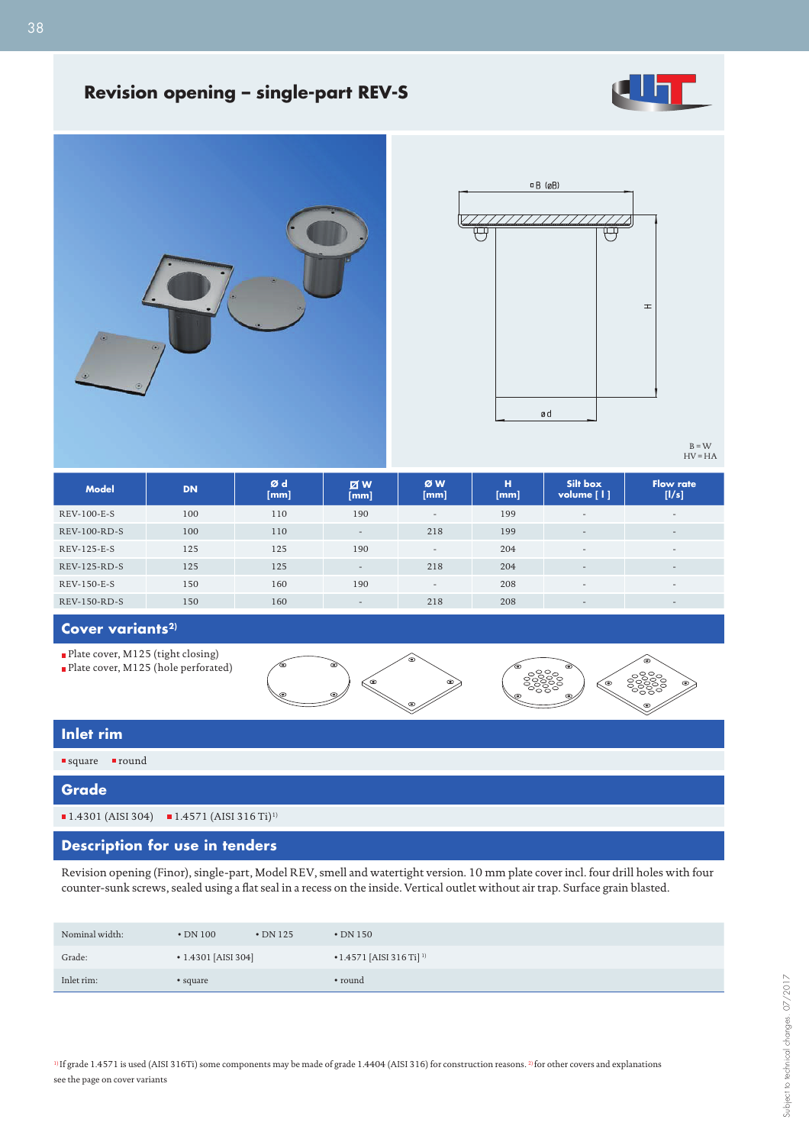

## **Revision opening – single-part REV-S**





B = W HV = HA

| <b>Model</b>        | <b>DN</b> | Ød<br>[mm] | <b>Z</b> W<br>[mm]       | ØW<br>[mm]               | н<br>[mm] | Silt box<br>volume $\lceil \cdot \rceil$ | <b>Flow rate</b><br>[1/s] |
|---------------------|-----------|------------|--------------------------|--------------------------|-----------|------------------------------------------|---------------------------|
| REV-100-E-S         | 100       | 110        | 190                      | $\sim$                   | 199       | $\overline{\phantom{a}}$                 | $\overline{\phantom{a}}$  |
| <b>REV-100-RD-S</b> | 100       | 110        | $\overline{\phantom{a}}$ | 218                      | 199       | $\overline{\phantom{a}}$                 | $\overline{\phantom{a}}$  |
| REV-125-E-S         | 125       | 125        | 190                      | $\overline{\phantom{a}}$ | 204       | $\overline{\phantom{a}}$                 | $\overline{\phantom{0}}$  |
| REV-125-RD-S        | 125       | 125        | $\overline{\phantom{a}}$ | 218                      | 204       | $\overline{\phantom{a}}$                 | $\overline{\phantom{a}}$  |
| REV-150-E-S         | 150       | 160        | 190                      | $\overline{\phantom{a}}$ | 208       | $\overline{\phantom{a}}$                 | $\overline{\phantom{0}}$  |
| REV-150-RD-S        | 150       | 160        | -                        | 218                      | 208       | $\overline{\phantom{a}}$                 | $\overline{\phantom{0}}$  |

### **Cover variants2)**

Plate cover, M125 (tight closing)

Plate cover, M125 (hole perforated)



### **Inlet rim**

# square round **Grade**

 $1.4301$  (AISI 304)  $1.4571$  (AISI 316 Ti)<sup>1)</sup>

### **Description for use in tenders**

Revision opening (Finor), single-part, Model REV, smell and watertight version. 10 mm plate cover incl. four drill holes with four counter-sunk screws, sealed using a flat seal in a recess on the inside. Vertical outlet without air trap. Surface grain blasted.

| Nominal width: | $\cdot$ DN 100            | $\cdot$ DN 125 | $\cdot$ DN 150                               |
|----------------|---------------------------|----------------|----------------------------------------------|
| Grade:         | $\cdot$ 1.4301 [AISI 304] |                | $\bullet$ 1.4571 [AISI 316 Ti] <sup>1)</sup> |
| Inlet rim:     | • square                  |                | • round                                      |

<sup>1)</sup> If grade 1.4571 is used (AISI 316Ti) some components may be made of grade 1.4404 (AISI 316) for construction reasons.<sup>2)</sup> for other covers and explanations see the page on cover variants